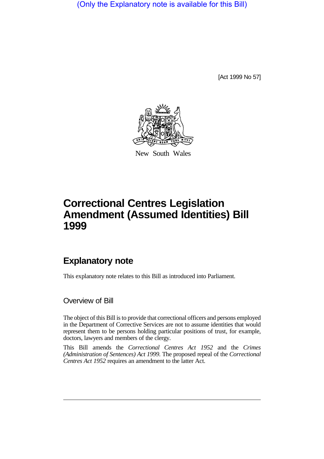(Only the Explanatory note is available for this Bill)

[Act 1999 No 57]



New South Wales

## **Correctional Centres Legislation Amendment (Assumed Identities) Bill 1999**

## **Explanatory note**

This explanatory note relates to this Bill as introduced into Parliament.

Overview of Bill

The object of this Bill is to provide that correctional officers and persons employed in the Department of Corrective Services are not to assume identities that would represent them to be persons holding particular positions of trust, for example, doctors, lawyers and members of the clergy.

This Bill amends the *Correctional Centres Act 1952* and the *Crimes (Administration of Sentences) Act 1999*. The proposed repeal of the *Correctional Centres Act 1952* requires an amendment to the latter Act.